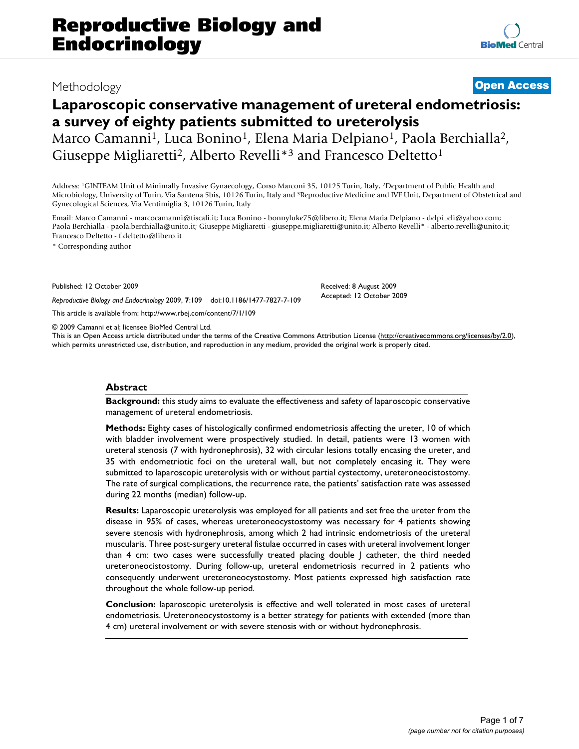## Methodology **[Open Access](http://www.biomedcentral.com/info/about/charter/)**

# **Laparoscopic conservative management of ureteral endometriosis: a survey of eighty patients submitted to ureterolysis**

Marco Camanni<sup>1</sup>, Luca Bonino<sup>1</sup>, Elena Maria Delpiano<sup>1</sup>, Paola Berchialla<sup>2</sup>, Giuseppe Migliaretti<sup>2</sup>, Alberto Revelli<sup>\*3</sup> and Francesco Deltetto<sup>1</sup>

Address: 1GINTEAM Unit of Minimally Invasive Gynaecology, Corso Marconi 35, 10125 Turin, Italy, 2Department of Public Health and Microbiology, University of Turin, Via Santena 5bis, 10126 Turin, Italy and 3Reproductive Medicine and IVF Unit, Department of Obstetrical and Gynecological Sciences, Via Ventimiglia 3, 10126 Turin, Italy

Email: Marco Camanni - marcocamanni@tiscali.it; Luca Bonino - bonnyluke75@libero.it; Elena Maria Delpiano - delpi\_eli@yahoo.com; Paola Berchialla - paola.berchialla@unito.it; Giuseppe Migliaretti - giuseppe.migliaretti@unito.it; Alberto Revelli\* - alberto.revelli@unito.it; Francesco Deltetto - f.deltetto@libero.it

\* Corresponding author

Published: 12 October 2009

*Reproductive Biology and Endocrinology* 2009, **7**:109 doi:10.1186/1477-7827-7-109

[This article is available from: http://www.rbej.com/content/7/1/109](http://www.rbej.com/content/7/1/109)

© 2009 Camanni et al; licensee BioMed Central Ltd.

This is an Open Access article distributed under the terms of the Creative Commons Attribution License [\(http://creativecommons.org/licenses/by/2.0\)](http://creativecommons.org/licenses/by/2.0), which permits unrestricted use, distribution, and reproduction in any medium, provided the original work is properly cited.

#### **Abstract**

**Background:** this study aims to evaluate the effectiveness and safety of laparoscopic conservative management of ureteral endometriosis.

**Methods:** Eighty cases of histologically confirmed endometriosis affecting the ureter, 10 of which with bladder involvement were prospectively studied. In detail, patients were 13 women with ureteral stenosis (7 with hydronephrosis), 32 with circular lesions totally encasing the ureter, and 35 with endometriotic foci on the ureteral wall, but not completely encasing it. They were submitted to laparoscopic ureterolysis with or without partial cystectomy, ureteroneocistostomy. The rate of surgical complications, the recurrence rate, the patients' satisfaction rate was assessed during 22 months (median) follow-up.

**Results:** Laparoscopic ureterolysis was employed for all patients and set free the ureter from the disease in 95% of cases, whereas ureteroneocystostomy was necessary for 4 patients showing severe stenosis with hydronephrosis, among which 2 had intrinsic endometriosis of the ureteral muscularis. Three post-surgery ureteral fistulae occurred in cases with ureteral involvement longer than 4 cm: two cases were successfully treated placing double J catheter, the third needed ureteroneocistostomy. During follow-up, ureteral endometriosis recurred in 2 patients who consequently underwent ureteroneocystostomy. Most patients expressed high satisfaction rate throughout the whole follow-up period.

**Conclusion:** laparoscopic ureterolysis is effective and well tolerated in most cases of ureteral endometriosis. Ureteroneocystostomy is a better strategy for patients with extended (more than 4 cm) ureteral involvement or with severe stenosis with or without hydronephrosis.

Received: 8 August 2009 Accepted: 12 October 2009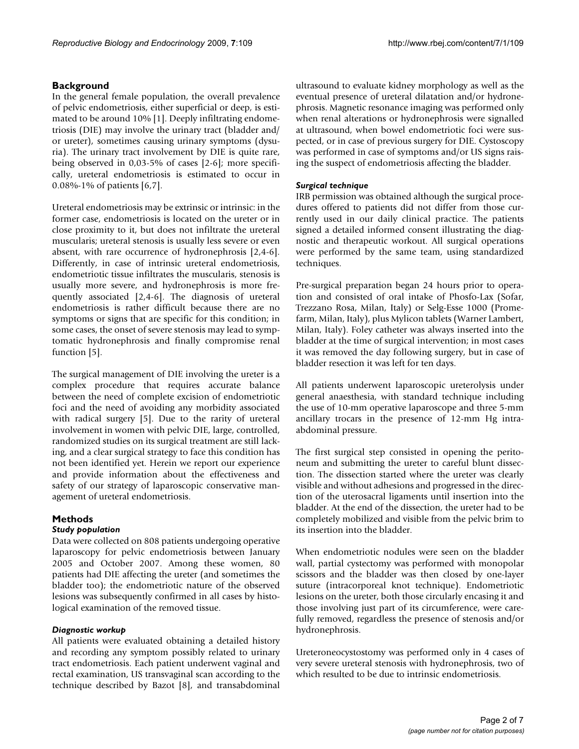## **Background**

In the general female population, the overall prevalence of pelvic endometriosis, either superficial or deep, is estimated to be around 10% [1]. Deeply infiltrating endometriosis (DIE) may involve the urinary tract (bladder and/ or ureter), sometimes causing urinary symptoms (dysuria). The urinary tract involvement by DIE is quite rare, being observed in 0,03-5% of cases [2-6]; more specifically, ureteral endometriosis is estimated to occur in 0.08%-1% of patients [6,7].

Ureteral endometriosis may be extrinsic or intrinsic: in the former case, endometriosis is located on the ureter or in close proximity to it, but does not infiltrate the ureteral muscularis; ureteral stenosis is usually less severe or even absent, with rare occurrence of hydronephrosis [2,4-6]. Differently, in case of intrinsic ureteral endometriosis, endometriotic tissue infiltrates the muscularis, stenosis is usually more severe, and hydronephrosis is more frequently associated [2,4-6]. The diagnosis of ureteral endometriosis is rather difficult because there are no symptoms or signs that are specific for this condition; in some cases, the onset of severe stenosis may lead to symptomatic hydronephrosis and finally compromise renal function [5].

The surgical management of DIE involving the ureter is a complex procedure that requires accurate balance between the need of complete excision of endometriotic foci and the need of avoiding any morbidity associated with radical surgery [5]. Due to the rarity of ureteral involvement in women with pelvic DIE, large, controlled, randomized studies on its surgical treatment are still lacking, and a clear surgical strategy to face this condition has not been identified yet. Herein we report our experience and provide information about the effectiveness and safety of our strategy of laparoscopic conservative management of ureteral endometriosis.

## **Methods**

## *Study population*

Data were collected on 808 patients undergoing operative laparoscopy for pelvic endometriosis between January 2005 and October 2007. Among these women, 80 patients had DIE affecting the ureter (and sometimes the bladder too); the endometriotic nature of the observed lesions was subsequently confirmed in all cases by histological examination of the removed tissue.

## *Diagnostic workup*

All patients were evaluated obtaining a detailed history and recording any symptom possibly related to urinary tract endometriosis. Each patient underwent vaginal and rectal examination, US transvaginal scan according to the technique described by Bazot [8], and transabdominal

ultrasound to evaluate kidney morphology as well as the eventual presence of ureteral dilatation and/or hydronephrosis. Magnetic resonance imaging was performed only when renal alterations or hydronephrosis were signalled at ultrasound, when bowel endometriotic foci were suspected, or in case of previous surgery for DIE. Cystoscopy was performed in case of symptoms and/or US signs raising the suspect of endometriosis affecting the bladder.

## *Surgical technique*

IRB permission was obtained although the surgical procedures offered to patients did not differ from those currently used in our daily clinical practice. The patients signed a detailed informed consent illustrating the diagnostic and therapeutic workout. All surgical operations were performed by the same team, using standardized techniques.

Pre-surgical preparation began 24 hours prior to operation and consisted of oral intake of Phosfo-Lax (Sofar, Trezzano Rosa, Milan, Italy) or Selg-Esse 1000 (Promefarm, Milan, Italy), plus Mylicon tablets (Warner Lambert, Milan, Italy). Foley catheter was always inserted into the bladder at the time of surgical intervention; in most cases it was removed the day following surgery, but in case of bladder resection it was left for ten days.

All patients underwent laparoscopic ureterolysis under general anaesthesia, with standard technique including the use of 10-mm operative laparoscope and three 5-mm ancillary trocars in the presence of 12-mm Hg intraabdominal pressure.

The first surgical step consisted in opening the peritoneum and submitting the ureter to careful blunt dissection. The dissection started where the ureter was clearly visible and without adhesions and progressed in the direction of the uterosacral ligaments until insertion into the bladder. At the end of the dissection, the ureter had to be completely mobilized and visible from the pelvic brim to its insertion into the bladder.

When endometriotic nodules were seen on the bladder wall, partial cystectomy was performed with monopolar scissors and the bladder was then closed by one-layer suture (intracorporeal knot technique). Endometriotic lesions on the ureter, both those circularly encasing it and those involving just part of its circumference, were carefully removed, regardless the presence of stenosis and/or hydronephrosis.

Ureteroneocystostomy was performed only in 4 cases of very severe ureteral stenosis with hydronephrosis, two of which resulted to be due to intrinsic endometriosis.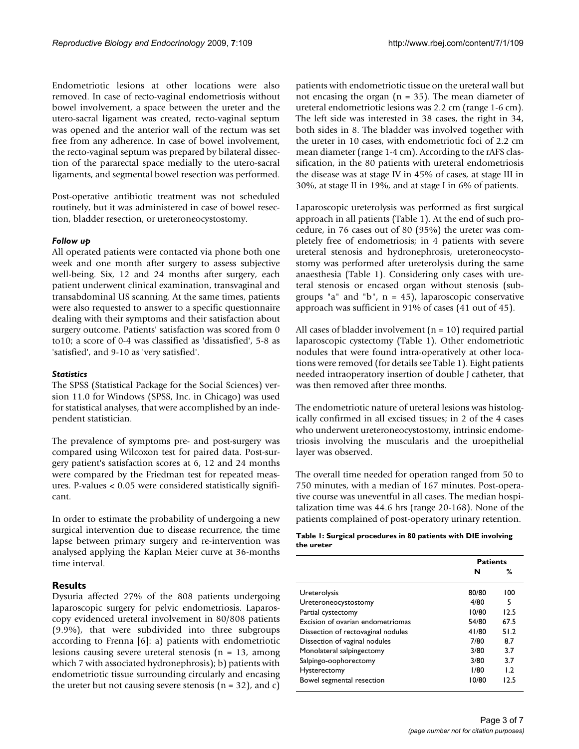Endometriotic lesions at other locations were also removed. In case of recto-vaginal endometriosis without bowel involvement, a space between the ureter and the utero-sacral ligament was created, recto-vaginal septum was opened and the anterior wall of the rectum was set free from any adherence. In case of bowel involvement, the recto-vaginal septum was prepared by bilateral dissection of the pararectal space medially to the utero-sacral ligaments, and segmental bowel resection was performed.

Post-operative antibiotic treatment was not scheduled routinely, but it was administered in case of bowel resection, bladder resection, or ureteroneocystostomy.

#### *Follow up*

All operated patients were contacted via phone both one week and one month after surgery to assess subjective well-being. Six, 12 and 24 months after surgery, each patient underwent clinical examination, transvaginal and transabdominal US scanning. At the same times, patients were also requested to answer to a specific questionnaire dealing with their symptoms and their satisfaction about surgery outcome. Patients' satisfaction was scored from 0 to10; a score of 0-4 was classified as 'dissatisfied', 5-8 as 'satisfied', and 9-10 as 'very satisfied'.

#### *Statistics*

The SPSS (Statistical Package for the Social Sciences) version 11.0 for Windows (SPSS, Inc. in Chicago) was used for statistical analyses, that were accomplished by an independent statistician.

The prevalence of symptoms pre- and post-surgery was compared using Wilcoxon test for paired data. Post-surgery patient's satisfaction scores at 6, 12 and 24 months were compared by the Friedman test for repeated measures. P-values < 0.05 were considered statistically significant.

In order to estimate the probability of undergoing a new surgical intervention due to disease recurrence, the time lapse between primary surgery and re-intervention was analysed applying the Kaplan Meier curve at 36-months time interval.

#### **Results**

Dysuria affected 27% of the 808 patients undergoing laparoscopic surgery for pelvic endometriosis. Laparoscopy evidenced ureteral involvement in 80/808 patients (9.9%), that were subdivided into three subgroups according to Frenna [6]: a) patients with endometriotic lesions causing severe ureteral stenosis ( $n = 13$ , among which 7 with associated hydronephrosis); b) patients with endometriotic tissue surrounding circularly and encasing the ureter but not causing severe stenosis  $(n = 32)$ , and c) patients with endometriotic tissue on the ureteral wall but not encasing the organ  $(n = 35)$ . The mean diameter of ureteral endometriotic lesions was 2.2 cm (range 1-6 cm). The left side was interested in 38 cases, the right in 34, both sides in 8. The bladder was involved together with the ureter in 10 cases, with endometriotic foci of 2.2 cm mean diameter (range 1-4 cm). According to the rAFS classification, in the 80 patients with ureteral endometriosis the disease was at stage IV in 45% of cases, at stage III in 30%, at stage II in 19%, and at stage I in 6% of patients.

Laparoscopic ureterolysis was performed as first surgical approach in all patients (Table 1). At the end of such procedure, in 76 cases out of 80 (95%) the ureter was completely free of endometriosis; in 4 patients with severe ureteral stenosis and hydronephrosis, ureteroneocystostomy was performed after ureterolysis during the same anaesthesia (Table 1). Considering only cases with ureteral stenosis or encased organ without stenosis (subgroups "a" and "b",  $n = 45$ ), laparoscopic conservative approach was sufficient in 91% of cases (41 out of 45).

All cases of bladder involvement ( $n = 10$ ) required partial laparoscopic cystectomy (Table 1). Other endometriotic nodules that were found intra-operatively at other locations were removed (for details see Table 1). Eight patients needed intraoperatory insertion of double J catheter, that was then removed after three months.

The endometriotic nature of ureteral lesions was histologically confirmed in all excised tissues; in 2 of the 4 cases who underwent ureteroneocystostomy, intrinsic endometriosis involving the muscularis and the uroepithelial layer was observed.

The overall time needed for operation ranged from 50 to 750 minutes, with a median of 167 minutes. Post-operative course was uneventful in all cases. The median hospitalization time was 44.6 hrs (range 20-168). None of the patients complained of post-operatory urinary retention.

#### **Table 1: Surgical procedures in 80 patients with DIE involving the ureter**

| <b>Patients</b> |                |
|-----------------|----------------|
| N               | ℅              |
| 80/80           | 100            |
| 4/80            | 5              |
| 10/80           | 12.5           |
| 54/80           | 67.5           |
| 41/80           | 51.2           |
| 7/80            | 8.7            |
| 3/80            | 3.7            |
| 3/80            | 3.7            |
| 1/80            | $\mathbf{1.2}$ |
| 10/80           | 12.5           |
|                 |                |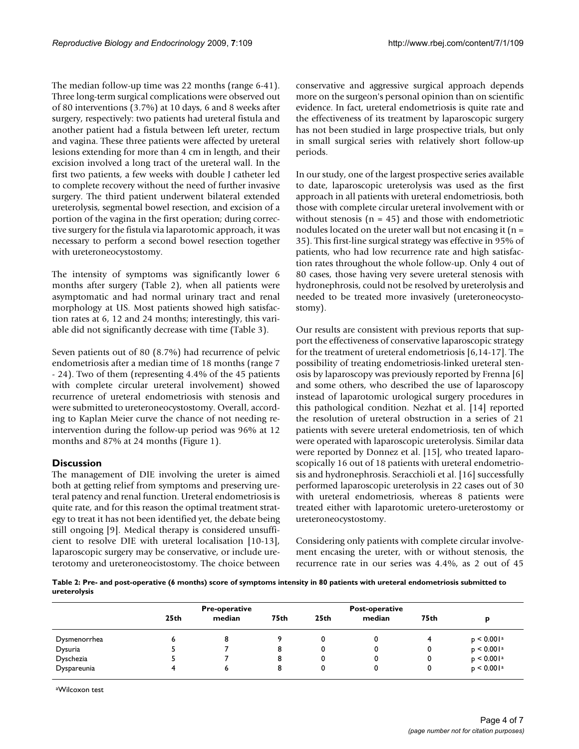The median follow-up time was 22 months (range 6-41). Three long-term surgical complications were observed out of 80 interventions (3.7%) at 10 days, 6 and 8 weeks after surgery, respectively: two patients had ureteral fistula and another patient had a fistula between left ureter, rectum and vagina. These three patients were affected by ureteral lesions extending for more than 4 cm in length, and their excision involved a long tract of the ureteral wall. In the first two patients, a few weeks with double J catheter led to complete recovery without the need of further invasive surgery. The third patient underwent bilateral extended ureterolysis, segmental bowel resection, and excision of a portion of the vagina in the first operation; during corrective surgery for the fistula via laparotomic approach, it was necessary to perform a second bowel resection together with ureteroneocystostomy.

The intensity of symptoms was significantly lower 6 months after surgery (Table 2), when all patients were asymptomatic and had normal urinary tract and renal morphology at US. Most patients showed high satisfaction rates at 6, 12 and 24 months; interestingly, this variable did not significantly decrease with time (Table 3).

Seven patients out of 80 (8.7%) had recurrence of pelvic endometriosis after a median time of 18 months (range 7 - 24). Two of them (representing 4.4% of the 45 patients with complete circular ureteral involvement) showed recurrence of ureteral endometriosis with stenosis and were submitted to ureteroneocystostomy. Overall, according to Kaplan Meier curve the chance of not needing reintervention during the follow-up period was 96% at 12 months and 87% at 24 months (Figure 1).

## **Discussion**

The management of DIE involving the ureter is aimed both at getting relief from symptoms and preserving ureteral patency and renal function. Ureteral endometriosis is quite rate, and for this reason the optimal treatment strategy to treat it has not been identified yet, the debate being still ongoing [9]. Medical therapy is considered unsufficient to resolve DIE with ureteral localisation [10-13], laparoscopic surgery may be conservative, or include ureterotomy and ureteroneocistostomy. The choice between conservative and aggressive surgical approach depends more on the surgeon's personal opinion than on scientific evidence. In fact, ureteral endometriosis is quite rate and the effectiveness of its treatment by laparoscopic surgery has not been studied in large prospective trials, but only in small surgical series with relatively short follow-up periods.

In our study, one of the largest prospective series available to date, laparoscopic ureterolysis was used as the first approach in all patients with ureteral endometriosis, both those with complete circular ureteral involvement with or without stenosis  $(n = 45)$  and those with endometriotic nodules located on the ureter wall but not encasing it  $(n =$ 35). This first-line surgical strategy was effective in 95% of patients, who had low recurrence rate and high satisfaction rates throughout the whole follow-up. Only 4 out of 80 cases, those having very severe ureteral stenosis with hydronephrosis, could not be resolved by ureterolysis and needed to be treated more invasively (ureteroneocystostomy).

Our results are consistent with previous reports that support the effectiveness of conservative laparoscopic strategy for the treatment of ureteral endometriosis [6,14-17]. The possibility of treating endometriosis-linked ureteral stenosis by laparoscopy was previously reported by Frenna [6] and some others, who described the use of laparoscopy instead of laparotomic urological surgery procedures in this pathological condition. Nezhat et al. [14] reported the resolution of ureteral obstruction in a series of 21 patients with severe ureteral endometriosis, ten of which were operated with laparoscopic ureterolysis. Similar data were reported by Donnez et al. [15], who treated laparoscopically 16 out of 18 patients with ureteral endometriosis and hydronephrosis. Seracchioli et al. [16] successfully performed laparoscopic ureterolysis in 22 cases out of 30 with ureteral endometriosis, whereas 8 patients were treated either with laparotomic uretero-ureterostomy or ureteroneocystostomy.

Considering only patients with complete circular involvement encasing the ureter, with or without stenosis, the recurrence rate in our series was 4.4%, as 2 out of 45

**Table 2: Pre- and post-operative (6 months) score of symptoms intensity in 80 patients with ureteral endometriosis submitted to ureterolysis**

|              | <b>Pre-operative</b> |        |      | Post-operative   |        |      |                 |
|--------------|----------------------|--------|------|------------------|--------|------|-----------------|
|              | 25 <sub>th</sub>     | median | 75th | 25 <sub>th</sub> | median | 75th |                 |
| Dysmenorrhea |                      | 8      | Q    |                  |        | 4    | p < 0.001a      |
| Dysuria      |                      |        | 8    |                  |        | 0    | $p \leq 0.001a$ |
| Dyschezia    |                      |        | 8    |                  |        | 0    | $p \leq 0.001a$ |
| Dyspareunia  |                      |        | 8    |                  |        | 0    | p < 0.001a      |

aWilcoxon test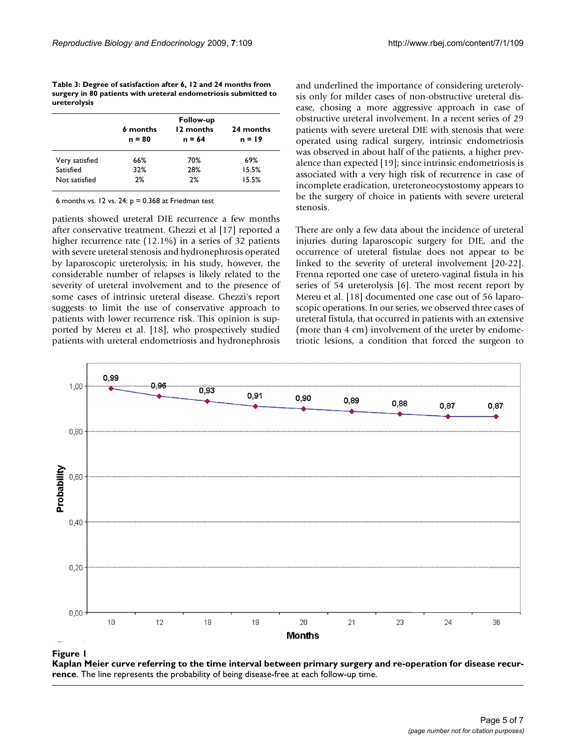| Table 3: Degree of satisfaction after 6, 12 and 24 months from  |
|-----------------------------------------------------------------|
| surgery in 80 patients with ureteral endometriosis submitted to |
| ureterolysis                                                    |

|                | 6 months<br>$n = 80$ | Follow-up<br>12 months<br>$n = 64$ | 24 months<br>$n = 19$ |
|----------------|----------------------|------------------------------------|-----------------------|
| Very satisfied | 66%                  | 70%                                | 69%                   |
| Satisfied      | 32%                  | 28%                                | 15.5%                 |
| Not satisfied  | 2%                   | 2%                                 | 15.5%                 |

6 months vs. 12 vs. 24:  $p = 0.368$  at Friedman test

patients showed ureteral DIE recurrence a few months after conservative treatment. Ghezzi et al [17] reported a higher recurrence rate (12.1%) in a series of 32 patients with severe ureteral stenosis and hydronephrosis operated by laparoscopic ureterolysis; in his study, however, the considerable number of relapses is likely related to the severity of ureteral involvement and to the presence of some cases of intrinsic ureteral disease. Ghezzi's report suggests to limit the use of conservative approach to patients with lower recurrence risk. This opinion is supported by Mereu et al. [18], who prospectively studied patients with ureteral endometriosis and hydronephrosis and underlined the importance of considering ureterolysis only for milder cases of non-obstructive ureteral disease, chosing a more aggressive approach in case of obstructive ureteral involvement. In a recent series of 29 patients with severe ureteral DIE with stenosis that were operated using radical surgery, intrinsic endometriosis was observed in about half of the patients, a higher prevalence than expected [19]; since intrinsic endometriosis is associated with a very high risk of recurrence in case of incomplete eradication, ureteroneocystostomy appears to be the surgery of choice in patients with severe ureteral stenosis.

There are only a few data about the incidence of ureteral injuries during laparoscopic surgery for DIE, and the occurrence of ureteral fistulae does not appear to be linked to the severity of ureteral involvement [20-22]. Frenna reported one case of uretero-vaginal fistula in his series of 54 ureterolysis [6]. The most recent report by Mereu et al. [18] documented one case out of 56 laparoscopic operations. In our series, we observed three cases of ureteral fistula, that occurred in patients with an extensive (more than 4 cm) involvement of the ureter by endometriotic lesions, a condition that forced the surgeon to



**Kaplan Meier curve referring to the time interval between primary surgery and re-operation for disease recurrence**. The line represents the probability of being disease-free at each follow-up time.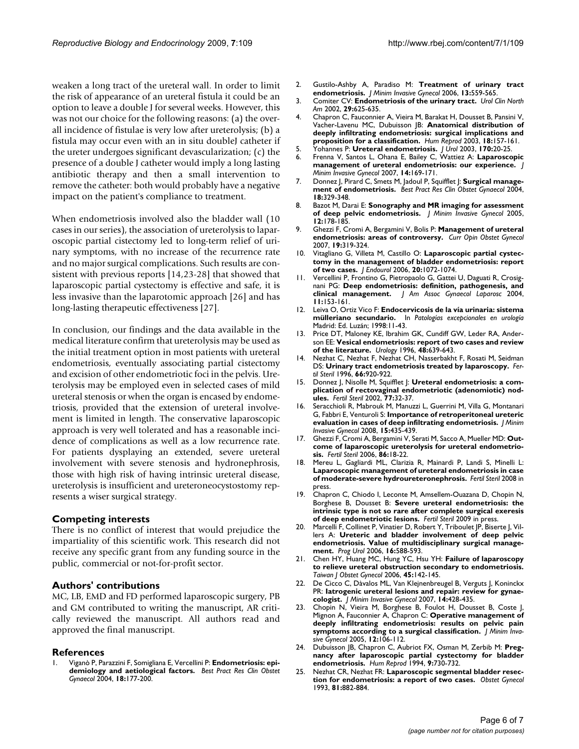weaken a long tract of the ureteral wall. In order to limit the risk of appearance of an ureteral fistula it could be an option to leave a double J for several weeks. However, this was not our choice for the following reasons: (a) the overall incidence of fistulae is very low after ureterolysis; (b) a fistula may occur even with an in situ doubleJ catheter if the ureter undergoes significant devascularization; (c) the presence of a double J catheter would imply a long lasting antibiotic therapy and then a small intervention to remove the catheter: both would probably have a negative impact on the patient's compliance to treatment.

When endometriosis involved also the bladder wall (10 cases in our series), the association of ureterolysis to laparoscopic partial cistectomy led to long-term relief of urinary symptoms, with no increase of the recurrence rate and no major surgical complications. Such results are consistent with previous reports [14,23-28] that showed that laparoscopic partial cystectomy is effective and safe, it is less invasive than the laparotomic approach [26] and has long-lasting therapeutic effectiveness [27].

In conclusion, our findings and the data available in the medical literature confirm that ureterolysis may be used as the initial treatment option in most patients with ureteral endometriosis, eventually associating partial cistectomy and excision of other endometriotic foci in the pelvis. Ureterolysis may be employed even in selected cases of mild ureteral stenosis or when the organ is encased by endometriosis, provided that the extension of ureteral involvement is limited in length. The conservative laparoscopic approach is very well tolerated and has a reasonable incidence of complications as well as a low recurrence rate. For patients dysplaying an extended, severe ureteral involvement with severe stenosis and hydronephrosis, those with high risk of having intrinsic ureteral disease, ureterolysis is insufficient and ureteroneocystostomy represents a wiser surgical strategy.

#### **Competing interests**

There is no conflict of interest that would prejudice the impartiality of this scientific work. This research did not receive any specific grant from any funding source in the public, commercial or not-for-profit sector.

### **Authors' contributions**

MC, LB, EMD and FD performed laparoscopic surgery, PB and GM contributed to writing the manuscript, AR critically reviewed the manuscript. All authors read and approved the final manuscript.

#### **References**

1. Viganò P, Parazzini F, Somigliana E, Vercellini P: **[Endometriosis: epi](http://www.ncbi.nlm.nih.gov/entrez/query.fcgi?cmd=Retrieve&db=PubMed&dopt=Abstract&list_uids=15157637)[demiology and aetiological factors.](http://www.ncbi.nlm.nih.gov/entrez/query.fcgi?cmd=Retrieve&db=PubMed&dopt=Abstract&list_uids=15157637)** *Best Pract Res Clin Obstet Gynaecol* 2004, **18:**177-200.

- 2. Gustilo-Ashby A, Paradiso M: **[Treatment of urinary tract](http://www.ncbi.nlm.nih.gov/entrez/query.fcgi?cmd=Retrieve&db=PubMed&dopt=Abstract&list_uids=17097579) [endometriosis.](http://www.ncbi.nlm.nih.gov/entrez/query.fcgi?cmd=Retrieve&db=PubMed&dopt=Abstract&list_uids=17097579)** *J Minim Invasive Gynecol* 2006, **13:**559-565.
- 3. Comiter CV: **[Endometriosis of the urinary tract.](http://www.ncbi.nlm.nih.gov/entrez/query.fcgi?cmd=Retrieve&db=PubMed&dopt=Abstract&list_uids=12476526)** *Urol Clin North Am* 2002, **29:**625-635.
- 4. Chapron C, Fauconnier A, Vieira M, Barakat H, Dousset B, Pansini V, Vacher-Lavenu MC, Dubuisson JB: **[Anatomical distribution of](http://www.ncbi.nlm.nih.gov/entrez/query.fcgi?cmd=Retrieve&db=PubMed&dopt=Abstract&list_uids=12525459) [deeply infiltrating endometriosis: surgical implications and](http://www.ncbi.nlm.nih.gov/entrez/query.fcgi?cmd=Retrieve&db=PubMed&dopt=Abstract&list_uids=12525459) [proposition for a classification.](http://www.ncbi.nlm.nih.gov/entrez/query.fcgi?cmd=Retrieve&db=PubMed&dopt=Abstract&list_uids=12525459)** *Hum Reprod* 2003, **18:**157-161.
- 5. Yohannes P: **[Ureteral endometriosis.](http://www.ncbi.nlm.nih.gov/entrez/query.fcgi?cmd=Retrieve&db=PubMed&dopt=Abstract&list_uids=12796637)** *J Urol* 2003, **170:**20-25.
- 6. Frenna V, Santos L, Ohana E, Bailey C, Wattiez A: **[Laparoscopic](http://www.ncbi.nlm.nih.gov/entrez/query.fcgi?cmd=Retrieve&db=PubMed&dopt=Abstract&list_uids=17368251) [management of ureteral endometriosis: our experience.](http://www.ncbi.nlm.nih.gov/entrez/query.fcgi?cmd=Retrieve&db=PubMed&dopt=Abstract&list_uids=17368251)** *J Minim Invasive Gynecol* 2007, **14:**169-171.
- 7. Donnez J, Pirard C, Smets M, Jadoul P, Squifflet |: **[Surgical manage](http://www.ncbi.nlm.nih.gov/entrez/query.fcgi?cmd=Retrieve&db=PubMed&dopt=Abstract&list_uids=15157646)[ment of endometriosis.](http://www.ncbi.nlm.nih.gov/entrez/query.fcgi?cmd=Retrieve&db=PubMed&dopt=Abstract&list_uids=15157646)** *Best Pract Res Clin Obstet Gynaecol* 2004, **18:**329-348.
- 8. Bazot M, Darai E: **[Sonography and MR imaging for assessment](http://www.ncbi.nlm.nih.gov/entrez/query.fcgi?cmd=Retrieve&db=PubMed&dopt=Abstract&list_uids=15904628) [of deep pelvic endometriosis.](http://www.ncbi.nlm.nih.gov/entrez/query.fcgi?cmd=Retrieve&db=PubMed&dopt=Abstract&list_uids=15904628)** *J Minim Invasive Gynecol* 2005, **12:**178-185.
- 9. Ghezzi F, Cromi A, Bergamini V, Bolis P: **[Management of ureteral](http://www.ncbi.nlm.nih.gov/entrez/query.fcgi?cmd=Retrieve&db=PubMed&dopt=Abstract&list_uids=17625412) [endometriosis: areas of controversy.](http://www.ncbi.nlm.nih.gov/entrez/query.fcgi?cmd=Retrieve&db=PubMed&dopt=Abstract&list_uids=17625412)** *Curr Opin Obstet Gynecol* 2007, **19:**319-324.
- 10. Vitagliano G, Villeta M, Castillo O: **[Laparoscopic partial cystec](http://www.ncbi.nlm.nih.gov/entrez/query.fcgi?cmd=Retrieve&db=PubMed&dopt=Abstract&list_uids=17206905)[tomy in the management of bladder endometriosis: report](http://www.ncbi.nlm.nih.gov/entrez/query.fcgi?cmd=Retrieve&db=PubMed&dopt=Abstract&list_uids=17206905) [of two cases.](http://www.ncbi.nlm.nih.gov/entrez/query.fcgi?cmd=Retrieve&db=PubMed&dopt=Abstract&list_uids=17206905)** *J Endourol* 2006, **20:**1072-1074.
- 11. Vercellini P, Frontino G, Pietropaolo G, Gattei U, Daguati R, Crosignani PG: **Deep endometriosis: definition, pathogenesis, and clinical management.** *J Am Assoc Gynaecol Laparosc* 2004, **11:**153-161.
- 12. Leiva O, Ortiz Vico F: **Endocervicosis de la vía urinaria: sistema mülleriano secundario.** In *Patologías excepcionales en urología* Madrid: Ed. Luzán; 1998:11-43.
- 13. Price DT, Maloney KE, Ibrahim GK, Cundiff GW, Leder RA, Anderson EE: **[Vesical endometriosis: report of two cases and review](http://www.ncbi.nlm.nih.gov/entrez/query.fcgi?cmd=Retrieve&db=PubMed&dopt=Abstract&list_uids=8966846) [of the literature.](http://www.ncbi.nlm.nih.gov/entrez/query.fcgi?cmd=Retrieve&db=PubMed&dopt=Abstract&list_uids=8966846)** *Urology* 1996, **48:**639-643.
- 14. Nezhat C, Nezhat F, Nezhat CH, Nasserbakht F, Rosati M, Seidman DS: **[Urinary tract endometriosis treated by laparoscopy.](http://www.ncbi.nlm.nih.gov/entrez/query.fcgi?cmd=Retrieve&db=PubMed&dopt=Abstract&list_uids=8941055)** *Fertil Steril* 1996, **66:**920-922.
- 15. Donnez J, Nisolle M, Squifflet J: [Ureteral endometriosis: a com](http://www.ncbi.nlm.nih.gov/entrez/query.fcgi?cmd=Retrieve&db=PubMed&dopt=Abstract&list_uids=11779587)**[plication of rectovaginal endometriotic \(adenomiotic\) nod](http://www.ncbi.nlm.nih.gov/entrez/query.fcgi?cmd=Retrieve&db=PubMed&dopt=Abstract&list_uids=11779587)[ules.](http://www.ncbi.nlm.nih.gov/entrez/query.fcgi?cmd=Retrieve&db=PubMed&dopt=Abstract&list_uids=11779587)** *Fertil Steril* 2002, **77:**32-37.
- 16. Seracchioli R, Mabrouk M, Manuzzi L, Guerrini M, Villa G, Montanari G, Fabbri E, Venturoli S: **[Importance of retroperitoneal ureteric](http://www.ncbi.nlm.nih.gov/entrez/query.fcgi?cmd=Retrieve&db=PubMed&dopt=Abstract&list_uids=18588850) [evaluation in cases of deep infiltrating endometriosis.](http://www.ncbi.nlm.nih.gov/entrez/query.fcgi?cmd=Retrieve&db=PubMed&dopt=Abstract&list_uids=18588850)** *J Minim Invasive Gynecol* 2008, **15:**435-439.
- 17. Ghezzi F, Cromi A, Bergamini V, Serati M, Sacco A, Mueller MD: **Outcome of laparoscopic ureterolysis for ureteral endometriosis.** *Fertil Steril* 2006, **86:**18-22.
- 18. Mereu L, Gagliardi ML, Clarizia R, Mainardi P, Landi S, Minelli L: **[Laparoscopic management of ureteral endometriosis in case](http://www.ncbi.nlm.nih.gov/entrez/query.fcgi?cmd=Retrieve&db=PubMed&dopt=Abstract&list_uids=18990377) [of moderate-severe hydroureteronephrosis.](http://www.ncbi.nlm.nih.gov/entrez/query.fcgi?cmd=Retrieve&db=PubMed&dopt=Abstract&list_uids=18990377)** *Fertil Steril* 2008 in press.
- 19. Chapron C, Chiodo I, Leconte M, Amsellem-Ouazana D, Chopin N, Borghese B, Dousset B: **Severe ureteral endometriosis: the intrinsic type is not so rare after complete surgical exeresis of deep endometriotic lesions.** *Fertil Steril* 2009 in press.
- 20. Marcelli F, Collinet P, Vinatier D, Robert Y, Triboulet JP, Biserte J, Villers A: **[Ureteric and bladder involvement of deep pelvic](http://www.ncbi.nlm.nih.gov/entrez/query.fcgi?cmd=Retrieve&db=PubMed&dopt=Abstract&list_uids=17175957) [endometriosis. Value of multidisciplinary surgical manage](http://www.ncbi.nlm.nih.gov/entrez/query.fcgi?cmd=Retrieve&db=PubMed&dopt=Abstract&list_uids=17175957)[ment.](http://www.ncbi.nlm.nih.gov/entrez/query.fcgi?cmd=Retrieve&db=PubMed&dopt=Abstract&list_uids=17175957)** *Prog Urol* 2006, **16:**588-593.
- 21. Chen HY, Huang MC, Hung YC, Hsu YH: **[Failure of laparoscopy](http://www.ncbi.nlm.nih.gov/entrez/query.fcgi?cmd=Retrieve&db=PubMed&dopt=Abstract&list_uids=17197355) [to relieve ureteral obstruction secondary to endometriosis.](http://www.ncbi.nlm.nih.gov/entrez/query.fcgi?cmd=Retrieve&db=PubMed&dopt=Abstract&list_uids=17197355)** *Taiwan J Obstet Gynecol* 2006, **45:**142-145.
- 22. De Cicco C, Dàvalos ML, Van Klejnenbreugel B, Verguts J, Koninckx PR: **[Iatrogenic ureteral lesions and repair: review for gynae](http://www.ncbi.nlm.nih.gov/entrez/query.fcgi?cmd=Retrieve&db=PubMed&dopt=Abstract&list_uids=17630159)[cologist.](http://www.ncbi.nlm.nih.gov/entrez/query.fcgi?cmd=Retrieve&db=PubMed&dopt=Abstract&list_uids=17630159)** *J Minim Invasive Gynecol* 2007, **14:**428-435.
- 23. Chopin N, Vieira M, Borghese B, Foulot H, Dousset B, Coste J, Mignon A, Fauconnier A, Chapron C: **[Operative management of](http://www.ncbi.nlm.nih.gov/entrez/query.fcgi?cmd=Retrieve&db=PubMed&dopt=Abstract&list_uids=15904612) [deeply infiltrating endometriosis: results on pelvic pain](http://www.ncbi.nlm.nih.gov/entrez/query.fcgi?cmd=Retrieve&db=PubMed&dopt=Abstract&list_uids=15904612) [symptoms according to a surgical classification.](http://www.ncbi.nlm.nih.gov/entrez/query.fcgi?cmd=Retrieve&db=PubMed&dopt=Abstract&list_uids=15904612)** *J Minim Invasive Gynecol* 2005, **12:**106-112.
- 24. Dubuisson JB, Chapron C, Aubriot FX, Osman M, Zerbib M: **[Preg](http://www.ncbi.nlm.nih.gov/entrez/query.fcgi?cmd=Retrieve&db=PubMed&dopt=Abstract&list_uids=8046031)[nancy after laparoscopic partial cystectomy for bladder](http://www.ncbi.nlm.nih.gov/entrez/query.fcgi?cmd=Retrieve&db=PubMed&dopt=Abstract&list_uids=8046031) [endometriosis.](http://www.ncbi.nlm.nih.gov/entrez/query.fcgi?cmd=Retrieve&db=PubMed&dopt=Abstract&list_uids=8046031)** *Hum Reprod* 1994, **9:**730-732.
- 25. Nezhat CR, Nezhat FR: **[Laparoscopic segmental bladder resec](http://www.ncbi.nlm.nih.gov/entrez/query.fcgi?cmd=Retrieve&db=PubMed&dopt=Abstract&list_uids=8469507)[tion for endometriosis: a report of two cases.](http://www.ncbi.nlm.nih.gov/entrez/query.fcgi?cmd=Retrieve&db=PubMed&dopt=Abstract&list_uids=8469507)** *Obstet Gynecol* 1993, **81:**882-884.